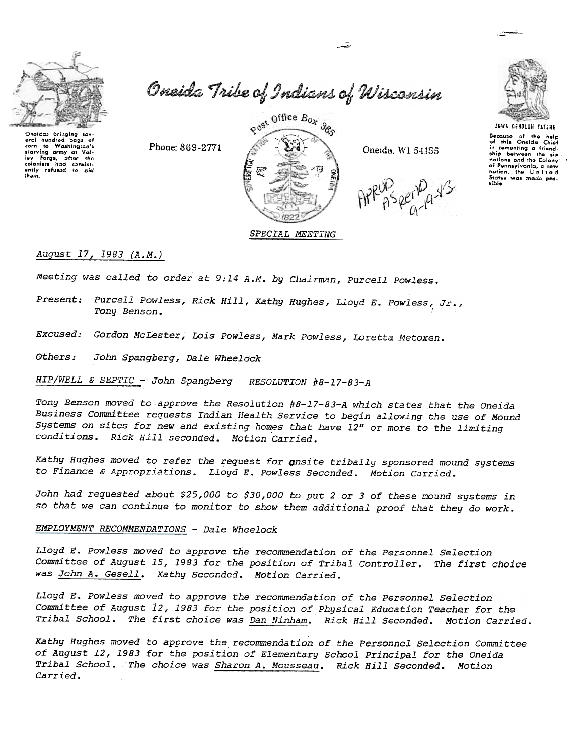

Oneida Tribe of Indians of Wisconsin

تقسير

Onaidas bringing sevoral hundred baas of corn to Washington's lay Forgs, after the<br>colonists had consistently ratused to cid<br>them.

Phone: 869-2771



Oneida, WI 54155



Because of the help<br>of this Oneida Chief in comenting a friendnations and the Colony of Pennsylvania, a new<br>nation, the United<br>States was made possible.

August 17, 1983 (A.M.)

Meeting was called to order at 9:14 A.M. by Chairman, Purcell Powless.

Present: Purcell Powless, Rick Hill, Kathy Hughes, Lloyd E. Powless, Jr., Tony Benson.

Excused: Gordon McLester, Lois Powless, Mark Powless, Loretta Metoxen.

Others: John Spangberg, Dale Wheelock

HIP/WELL & SEPTIC - John Spangberg RESOLUTION #8-17-83-A

Tony Benson moved to approve the Resolution #8-17-83-A which states that the Oneida Business Committee requests Indian Health Service to begin allowing the use of Mound Systems on sites for new and existing homes that have 12" or more to the limiting conditions. Rick Hill seconded. Motion Carried.

Kathy Hughes moved to refer the request for onsite tribally sponsored mound systems to Finance & Appropriations. Lloyd E. Powless Seconded. Motion Carried.

John had requested about \$25,000 to \$30,000 to put 2 or 3 of these mound systems in so that we can continue to monitor to show them additional proof that they do work.

### EMPLOYMENT RECOMMENDATIONS - Dale Wheelock

Lloyd E. Powless moved to approve the recommendation of the Personnel Selection Committee of August 15, 1983 for the position of Tribal Controller. The first choice was John A. Gesell. Kathy Seconded. Motion Carried.

Lloyd E. Powless moved to approve the recommendation of the Personnel Selection Committee of August 12, 1983 for the position of Physical Education Teacher for the Tribal School. The first choice was Dan Ninham. Rick Hill Seconded. Motion Carried.

Kathy Hughes moved to approve the recommendation of the Personnel Selection Committee of August 12, 1983 for the position of Elementary School Principal for the Oneida Tribal School. The choice was Sharon A. Mousseau. Rick Hill Seconded. Motion Carried.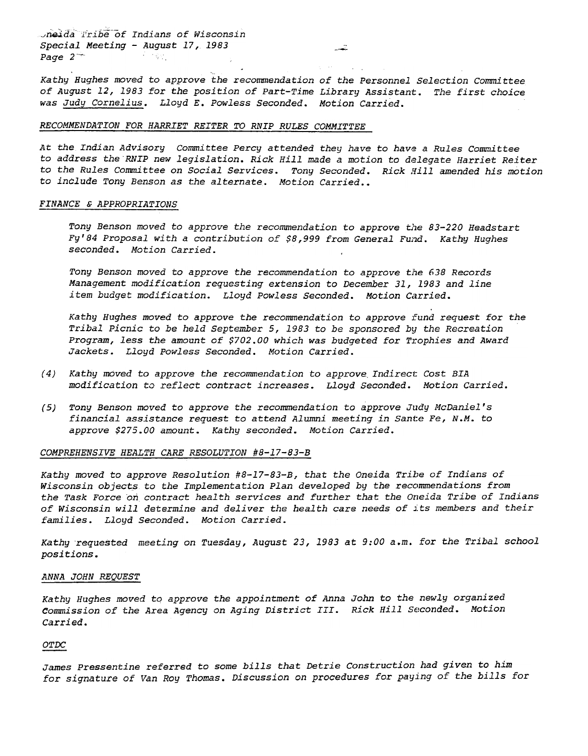neida Tribe of Indians of Wiscons Special Meeting - August 17, 1983<br>Page  $2$ Page  $2<sup>-</sup>$ 

. Kathy Hughes moved to approve the recommendation of the Personnel Selection Committee of August 12,1983 for the position of Part-Time Library Assistant. The first choice was Judy Cornelius. Lloyd E. Powless Seconded. Motion Carried.

-

### RECOMMENDATION FOR HARRIET REITER TO RNIP RULES COMMITTEE

At the Indian Advisory Committee Percy attended they have to have a Rules Committee to address the RNIP new legislation. Rick Hill made a motion to delegate Harriet Reiter to the Rules Committee on Social Services. Tony Seconded. Rick Hill amended his motion to include Tony Benson as the alternate. Motion Carried..

### FINANCE & APPROPRIATIONS

Tony Benson moved to approve the recommendation to approve the 83-220 Headstart Fy'84 Proposal with a contribution of \$8,999 from General Fund. Kathy Hughes seconded. Motion Carried.

Tony Benson moved to approve the recommendation to approve the 638 Records Management modification requesting extension to December 31, 1983 and line item budget modification. Lloyd Powless Seconded. Motion Carried.

Kathy Hughes moved to approve the recommendation to approve fund request for the Tribal Picnic to be held September 5, 1983 to be sponsored by the Recreation Program, less the amount of \$702.00 which was budgeted for Trophies and Award Jackets. Lloyd Powless Seconded. Motion Carried.

- (4) Kathy moved to approve the recommendation to approve Indirect: Cost BIA modification to reflect contract increases. Lloyd Seconded. Motion Carried.
- (5) Tony Benson moved to approve the recommendation to approve Judy McDaniel financial assistance request to attend Alumni meeting in Sante Fe, N.M. to approve \$275.00 amount. Kathy seconded. Motion Carried.

### COMPREHENSIVE HEALTH CARE RESOLUTION #8-17-83-B

Kathy moved to approve Resolution #8-17-83-B, that the Oneida Tribe of Indians of Wisconsin objects to the Implementation Plan developed by the recommendations from the Task Force on contract health services and further that the Oneida Tribe of Indians of Wisconsin will determine and deliver the health care needs of its members and their families. Lloyd Seconded. Motion Carried.

Kathy requested meeting on Tuesday, August 23, 1983 at 9:00 a.m. for the Tribal school positions.

#### ANNA JOHN REQUEST

Kathy Hughes moved to approve the appointment of Anna John to the newly organized Commission of the Area Agency on Aging District III. Rick Hill Seconded. Motion Carried.

### OTDC

James pressentine referred to some bills that Detrie Construction had given to him for signature of Van Roy Thomas. Discussion on procedures for paying of the bills for